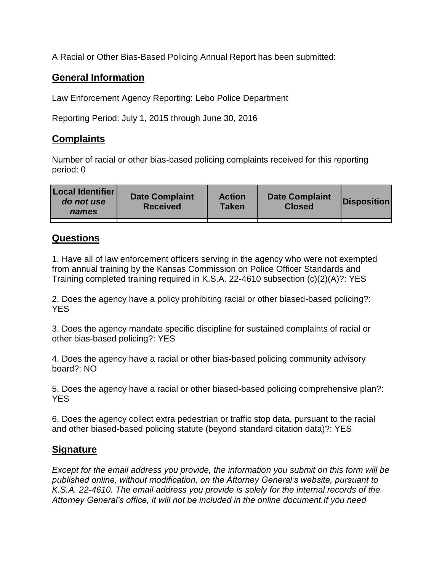A Racial or Other Bias-Based Policing Annual Report has been submitted:

## **General Information**

Law Enforcement Agency Reporting: Lebo Police Department

Reporting Period: July 1, 2015 through June 30, 2016

## **Complaints**

Number of racial or other bias-based policing complaints received for this reporting period: 0

| <b>Local Identifier</b><br>do not use<br>names | <b>Date Complaint</b><br><b>Received</b> | <b>Action</b><br><b>Taken</b> | <b>Date Complaint</b><br><b>Closed</b> | Disposition |
|------------------------------------------------|------------------------------------------|-------------------------------|----------------------------------------|-------------|
|                                                |                                          |                               |                                        |             |

## **Questions**

1. Have all of law enforcement officers serving in the agency who were not exempted from annual training by the Kansas Commission on Police Officer Standards and Training completed training required in K.S.A. 22-4610 subsection (c)(2)(A)?: YES

2. Does the agency have a policy prohibiting racial or other biased-based policing?: YES

3. Does the agency mandate specific discipline for sustained complaints of racial or other bias-based policing?: YES

4. Does the agency have a racial or other bias-based policing community advisory board?: NO

5. Does the agency have a racial or other biased-based policing comprehensive plan?: YES

6. Does the agency collect extra pedestrian or traffic stop data, pursuant to the racial and other biased-based policing statute (beyond standard citation data)?: YES

## **Signature**

*Except for the email address you provide, the information you submit on this form will be published online, without modification, on the Attorney General's website, pursuant to K.S.A. 22-4610. The email address you provide is solely for the internal records of the Attorney General's office, it will not be included in the online document.If you need*